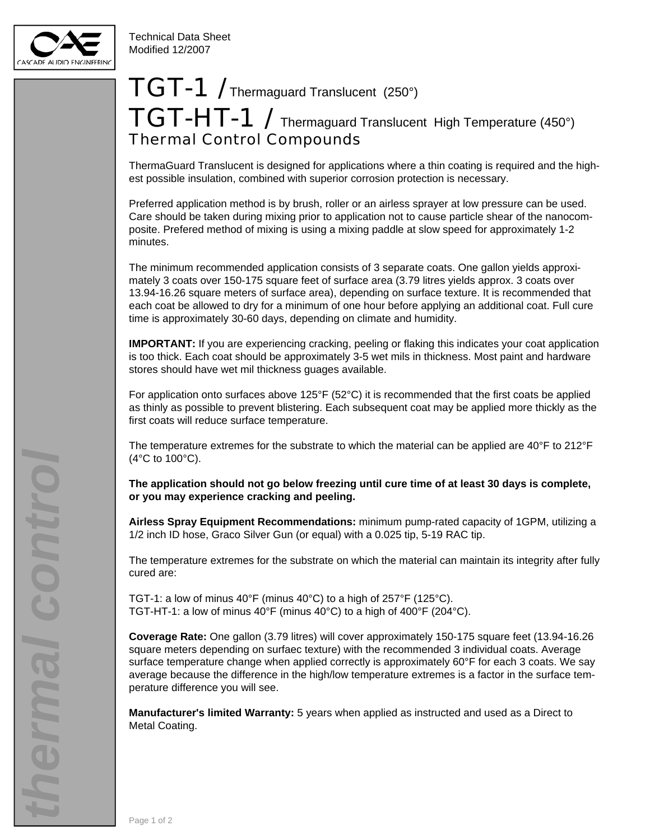

## $TGT-1$  / Thermaguard Translucent (250°) TGT-HT-1 / Thermaguard Translucent High Temperature (450°) Thermal Control Compounds

ThermaGuard Translucent is designed for applications where a thin coating is required and the highest possible insulation, combined with superior corrosion protection is necessary.

Preferred application method is by brush, roller or an airless sprayer at low pressure can be used. Care should be taken during mixing prior to application not to cause particle shear of the nanocomposite. Prefered method of mixing is using a mixing paddle at slow speed for approximately 1-2 minutes.

The minimum recommended application consists of 3 separate coats. One gallon yields approximately 3 coats over 150-175 square feet of surface area (3.79 litres yields approx. 3 coats over 13.94-16.26 square meters of surface area), depending on surface texture. It is recommended that each coat be allowed to dry for a minimum of one hour before applying an additional coat. Full cure time is approximately 30-60 days, depending on climate and humidity.

**IMPORTANT:** If you are experiencing cracking, peeling or flaking this indicates your coat application is too thick. Each coat should be approximately 3-5 wet mils in thickness. Most paint and hardware stores should have wet mil thickness guages available.

For application onto surfaces above  $125^{\circ}F (52^{\circ}C)$  it is recommended that the first coats be applied as thinly as possible to prevent blistering. Each subsequent coat may be applied more thickly as the first coats will reduce surface temperature.

The temperature extremes for the substrate to which the material can be applied are 40°F to 212°F  $(4^{\circ}$ C to 100 $^{\circ}$ C).

**The application should not go below freezing until cure time of at least 30 days is complete, or you may experience cracking and peeling.**

**Airless Spray Equipment Recommendations:** minimum pump-rated capacity of 1GPM, utilizing a 1/2 inch ID hose, Graco Silver Gun (or equal) with a 0.025 tip, 5-19 RAC tip.

The temperature extremes for the substrate on which the material can maintain its integrity after fully cured are:

TGT-1: a low of minus 40°F (minus 40°C) to a high of 257°F (125°C). TGT-HT-1: a low of minus 40°F (minus 40°C) to a high of 400°F (204°C).

**Coverage Rate:** One gallon (3.79 litres) will cover approximately 150-175 square feet (13.94-16.26 square meters depending on surfaec texture) with the recommended 3 individual coats. Average surface temperature change when applied correctly is approximately 60°F for each 3 coats. We say average because the difference in the high/low temperature extremes is a factor in the surface temperature difference you will see.

**Manufacturer's limited Warranty:** 5 years when applied as instructed and used as a Direct to Metal Coating.